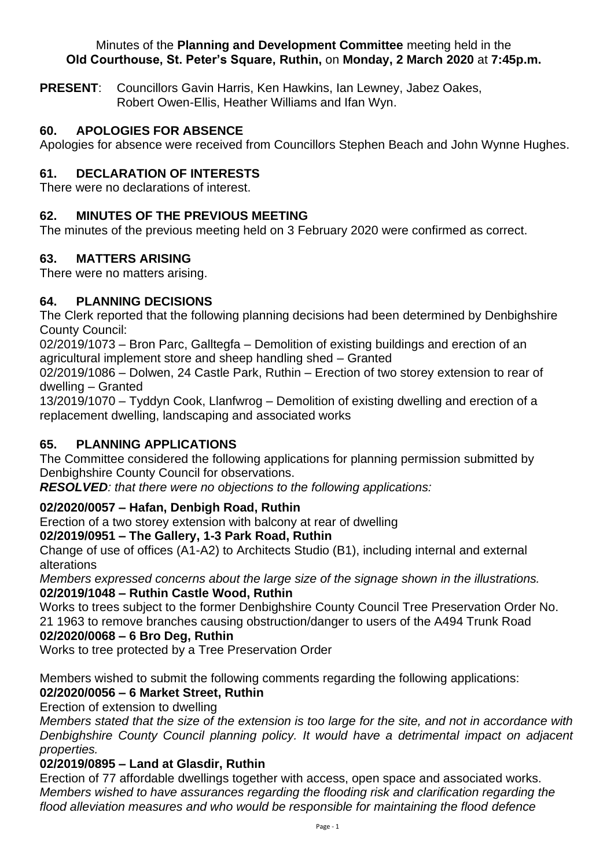#### Minutes of the **Planning and Development Committee** meeting held in the **Old Courthouse, St. Peter's Square, Ruthin,** on **Monday, 2 March 2020** at **7:45p.m.**

**PRESENT**: Councillors Gavin Harris, Ken Hawkins, Ian Lewney, Jabez Oakes, Robert Owen-Ellis, Heather Williams and Ifan Wyn.

# **60. APOLOGIES FOR ABSENCE**

Apologies for absence were received from Councillors Stephen Beach and John Wynne Hughes.

## **61. DECLARATION OF INTERESTS**

There were no declarations of interest.

## **62. MINUTES OF THE PREVIOUS MEETING**

The minutes of the previous meeting held on 3 February 2020 were confirmed as correct.

# **63. MATTERS ARISING**

There were no matters arising.

### **64. PLANNING DECISIONS**

The Clerk reported that the following planning decisions had been determined by Denbighshire County Council:

02/2019/1073 – Bron Parc, Galltegfa – Demolition of existing buildings and erection of an agricultural implement store and sheep handling shed – Granted

02/2019/1086 – Dolwen, 24 Castle Park, Ruthin – Erection of two storey extension to rear of dwelling – Granted

13/2019/1070 – Tyddyn Cook, Llanfwrog – Demolition of existing dwelling and erection of a replacement dwelling, landscaping and associated works

### **65. PLANNING APPLICATIONS**

The Committee considered the following applications for planning permission submitted by Denbighshire County Council for observations.

*RESOLVED: that there were no objections to the following applications:* 

### **02/2020/0057 – Hafan, Denbigh Road, Ruthin**

Erection of a two storey extension with balcony at rear of dwelling

### **02/2019/0951 – The Gallery, 1-3 Park Road, Ruthin**

Change of use of offices (A1-A2) to Architects Studio (B1), including internal and external alterations

*Members expressed concerns about the large size of the signage shown in the illustrations.* **02/2019/1048 – Ruthin Castle Wood, Ruthin**

Works to trees subject to the former Denbighshire County Council Tree Preservation Order No. 21 1963 to remove branches causing obstruction/danger to users of the A494 Trunk Road

### **02/2020/0068 – 6 Bro Deg, Ruthin**

Works to tree protected by a Tree Preservation Order

Members wished to submit the following comments regarding the following applications:

### **02/2020/0056 – 6 Market Street, Ruthin**

Erection of extension to dwelling

*Members stated that the size of the extension is too large for the site, and not in accordance with Denbighshire County Council planning policy. It would have a detrimental impact on adjacent properties.*

### **02/2019/0895 – Land at Glasdir, Ruthin**

Erection of 77 affordable dwellings together with access, open space and associated works. *Members wished to have assurances regarding the flooding risk and clarification regarding the flood alleviation measures and who would be responsible for maintaining the flood defence*